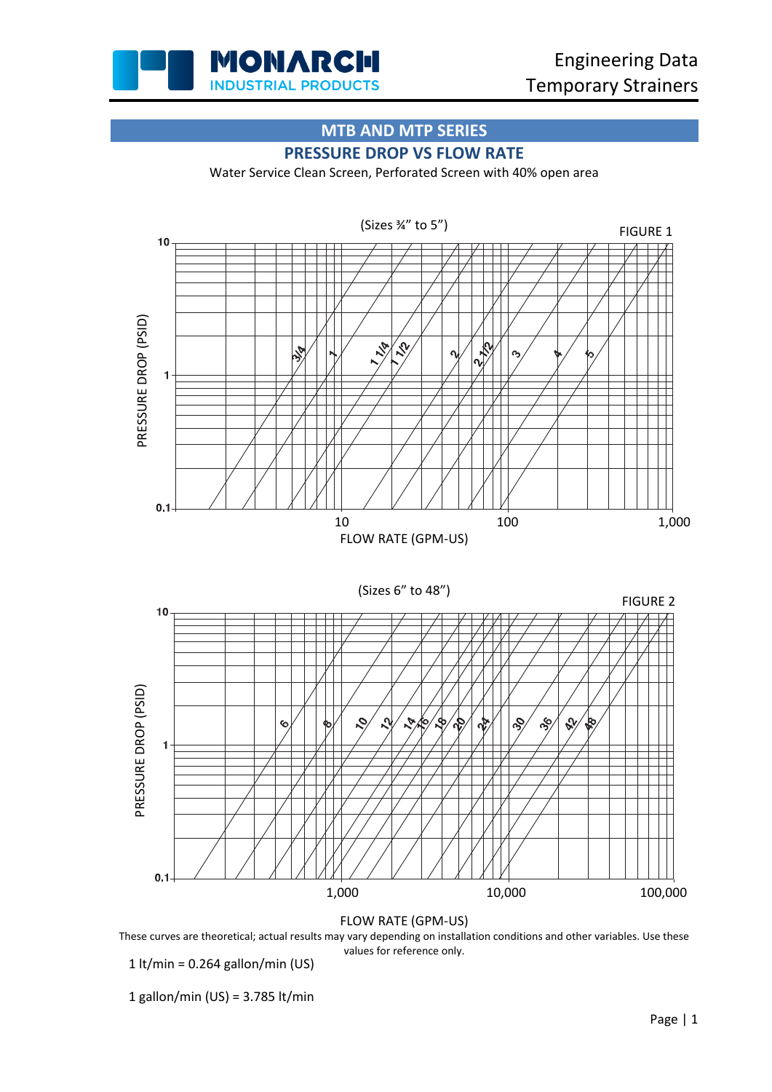

### **MTB AND MTP SERIES PRESSURE DROP VS FLOW RATE**

Water Service Clean Screen, Perforated Screen with 40% open area



FLOW RATE (GPM-US)

These curves are theoretical; actual results may vary depending on installation conditions and other variables. Use these values for reference only.

 $1$  lt/min = 0.264 gallon/min (US)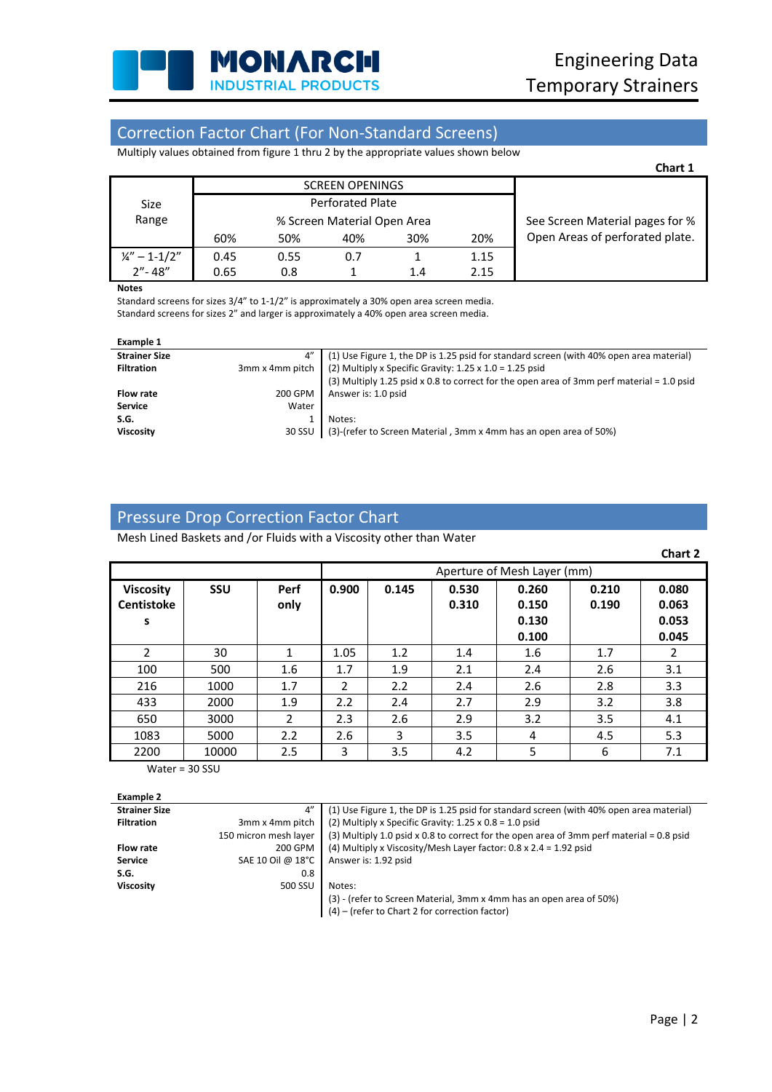

### Correction Factor Chart (For Non-Standard Screens)

Multiply values obtained from figure 1 thru 2 by the appropriate values shown below

|                          |                             |      |                         |     |      | Chart 1                         |
|--------------------------|-----------------------------|------|-------------------------|-----|------|---------------------------------|
| <b>Size</b>              |                             |      | <b>SCREEN OPENINGS</b>  |     |      |                                 |
|                          |                             |      | <b>Perforated Plate</b> |     |      |                                 |
| Range                    | % Screen Material Open Area |      |                         |     |      | See Screen Material pages for % |
|                          | 60%                         | 50%  | 40%                     | 30% | 20%  | Open Areas of perforated plate. |
| $\frac{1}{4}$ " – 1-1/2" | 0.45                        | 0.55 | 0.7                     |     | 1.15 |                                 |
| $2'' - 48''$             | 0.65                        | 0.8  |                         | 1.4 | 2.15 |                                 |

#### **Notes**

Standard screens for sizes 3/4" to 1-1/2" is approximately a 30% open area screen media. Standard screens for sizes 2" and larger is approximately a 40% open area screen media.

| <b>Example 1</b>     |         |                                                                                           |
|----------------------|---------|-------------------------------------------------------------------------------------------|
| <b>Strainer Size</b> | 4"      | (1) Use Figure 1, the DP is 1.25 psid for standard screen (with 40% open area material)   |
| <b>Filtration</b>    |         | 3mm x 4mm pitch (2) Multiply x Specific Gravity: 1.25 x 1.0 = 1.25 psid                   |
|                      |         | (3) Multiply 1.25 psid x 0.8 to correct for the open area of 3mm perf material = 1.0 psid |
| <b>Flow rate</b>     | 200 GPM | Answer is: 1.0 psid                                                                       |
| <b>Service</b>       | Water   |                                                                                           |
| S.G.                 |         | Notes:                                                                                    |
| <b>Viscosity</b>     |         | 30 SSU (3)-(refer to Screen Material, 3mm x 4mm has an open area of 50%)                  |
|                      |         |                                                                                           |

### Pressure Drop Correction Factor Chart

Mesh Lined Baskets and /or Fluids with a Viscosity other than Water

|                                            |       |                     |                             |       |                |                         |                | <b>Chart 2</b>          |
|--------------------------------------------|-------|---------------------|-----------------------------|-------|----------------|-------------------------|----------------|-------------------------|
|                                            |       |                     | Aperture of Mesh Layer (mm) |       |                |                         |                |                         |
| <b>Viscosity</b><br><b>Centistoke</b><br>s | SSU   | <b>Perf</b><br>only | 0.900                       | 0.145 | 0.530<br>0.310 | 0.260<br>0.150<br>0.130 | 0.210<br>0.190 | 0.080<br>0.063<br>0.053 |
| 2                                          | 30    | 1                   | 1.05                        | 1.2   | 1.4            | 0.100<br>1.6            | 1.7            | 0.045<br>2              |
|                                            |       |                     |                             |       |                |                         |                |                         |
| 100                                        | 500   | 1.6                 | 1.7                         | 1.9   | 2.1            | 2.4                     | 2.6            | 3.1                     |
| 216                                        | 1000  | 1.7                 | 2                           | 2.2   | 2.4            | 2.6                     | 2.8            | 3.3                     |
| 433                                        | 2000  | 1.9                 | 2.2                         | 2.4   | 2.7            | 2.9                     | 3.2            | 3.8                     |
| 650                                        | 3000  | $\overline{2}$      | 2.3                         | 2.6   | 2.9            | 3.2                     | 3.5            | 4.1                     |
| 1083                                       | 5000  | 2.2                 | 2.6                         | 3     | 3.5            | 4                       | 4.5            | 5.3                     |
| 2200                                       | 10000 | 2.5                 | 3                           | 3.5   | 4.2            | 5                       | 6              | 7.1                     |

Water = 30 SSU

**Example 2**

| <b>Strainer Size</b> | 4''                   | (1) Use Figure 1, the DP is 1.25 psid for standard screen (with 40% open area material)    |
|----------------------|-----------------------|--------------------------------------------------------------------------------------------|
| <b>Filtration</b>    | 3mm x 4mm pitch       | (2) Multiply x Specific Gravity: $1.25 \times 0.8 = 1.0$ psid                              |
|                      | 150 micron mesh layer | (3) Multiply 1.0 psid $x$ 0.8 to correct for the open area of 3mm perf material = 0.8 psid |
| <b>Flow rate</b>     | 200 GPM               | (4) Multiply x Viscosity/Mesh Layer factor: $0.8 \times 2.4 = 1.92$ psid                   |
| <b>Service</b>       | SAE 10 Oil @ 18°C     | Answer is: 1.92 psid                                                                       |
| S.G.                 | 0.8                   |                                                                                            |
| <b>Viscosity</b>     | 500 SSU               | Notes:                                                                                     |
|                      |                       | (3) - (refer to Screen Material, 3mm x 4mm has an open area of 50%)                        |
|                      |                       | (4) - (refer to Chart 2 for correction factor)                                             |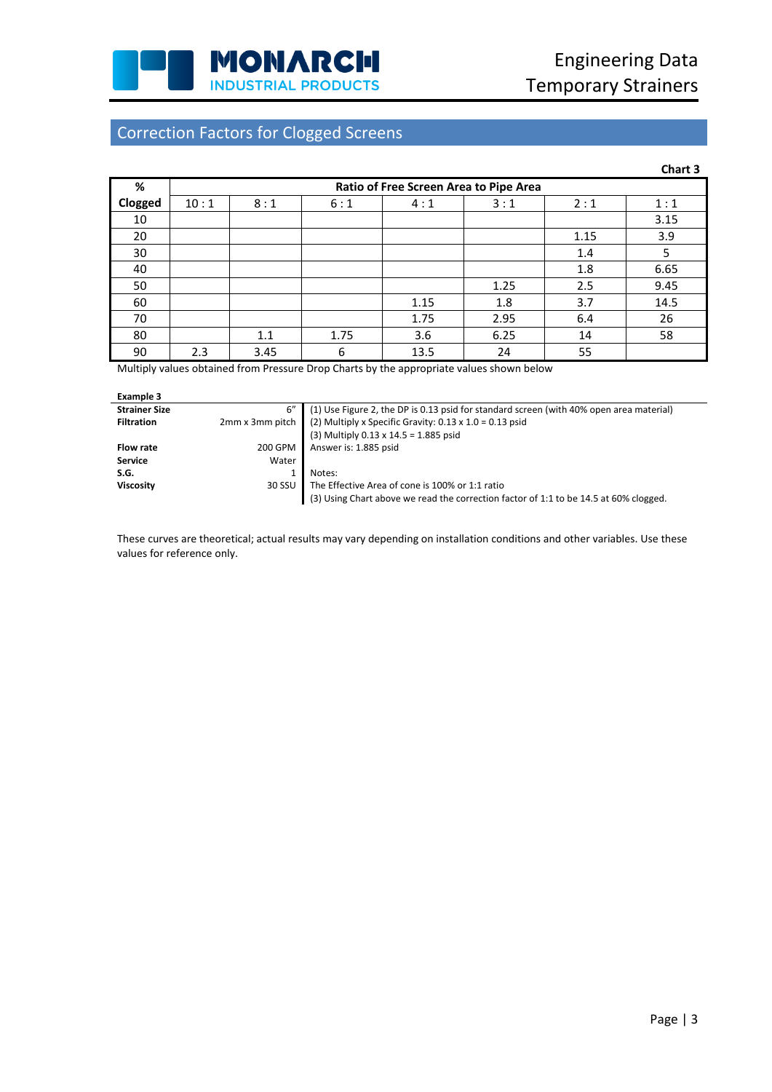

## Correction Factors for Clogged Screens

|         |      |                                        |      |      |      |      | Chart 3 |  |  |
|---------|------|----------------------------------------|------|------|------|------|---------|--|--|
| %       |      | Ratio of Free Screen Area to Pipe Area |      |      |      |      |         |  |  |
| Clogged | 10:1 | 8:1                                    | 6:1  | 4:1  | 3:1  | 2:1  | 1:1     |  |  |
| 10      |      |                                        |      |      |      |      | 3.15    |  |  |
| 20      |      |                                        |      |      |      | 1.15 | 3.9     |  |  |
| 30      |      |                                        |      |      |      | 1.4  | 5       |  |  |
| 40      |      |                                        |      |      |      | 1.8  | 6.65    |  |  |
| 50      |      |                                        |      |      | 1.25 | 2.5  | 9.45    |  |  |
| 60      |      |                                        |      | 1.15 | 1.8  | 3.7  | 14.5    |  |  |
| 70      |      |                                        |      | 1.75 | 2.95 | 6.4  | 26      |  |  |
| 80      |      | 1.1                                    | 1.75 | 3.6  | 6.25 | 14   | 58      |  |  |
| 90      | 2.3  | 3.45                                   | 6    | 13.5 | 24   | 55   |         |  |  |

Multiply values obtained from Pressure Drop Charts by the appropriate values shown below

**Example 3**

| <b>Strainer Size</b> | 6''     | (1) Use Figure 2, the DP is 0.13 psid for standard screen (with 40% open area material) |
|----------------------|---------|-----------------------------------------------------------------------------------------|
| <b>Filtration</b>    |         | 2mm x 3mm pitch (2) Multiply x Specific Gravity: 0.13 x 1.0 = 0.13 psid                 |
|                      |         | (3) Multiply 0.13 x 14.5 = 1.885 psid                                                   |
| <b>Flow rate</b>     | 200 GPM | Answer is: 1.885 psid                                                                   |
| <b>Service</b>       | Water   |                                                                                         |
| S.G.                 |         | Notes:                                                                                  |
| <b>Viscosity</b>     | 30 SSU  | The Effective Area of cone is 100% or 1:1 ratio                                         |
|                      |         | (3) Using Chart above we read the correction factor of 1:1 to be 14.5 at 60% clogged.   |

These curves are theoretical; actual results may vary depending on installation conditions and other variables. Use these values for reference only.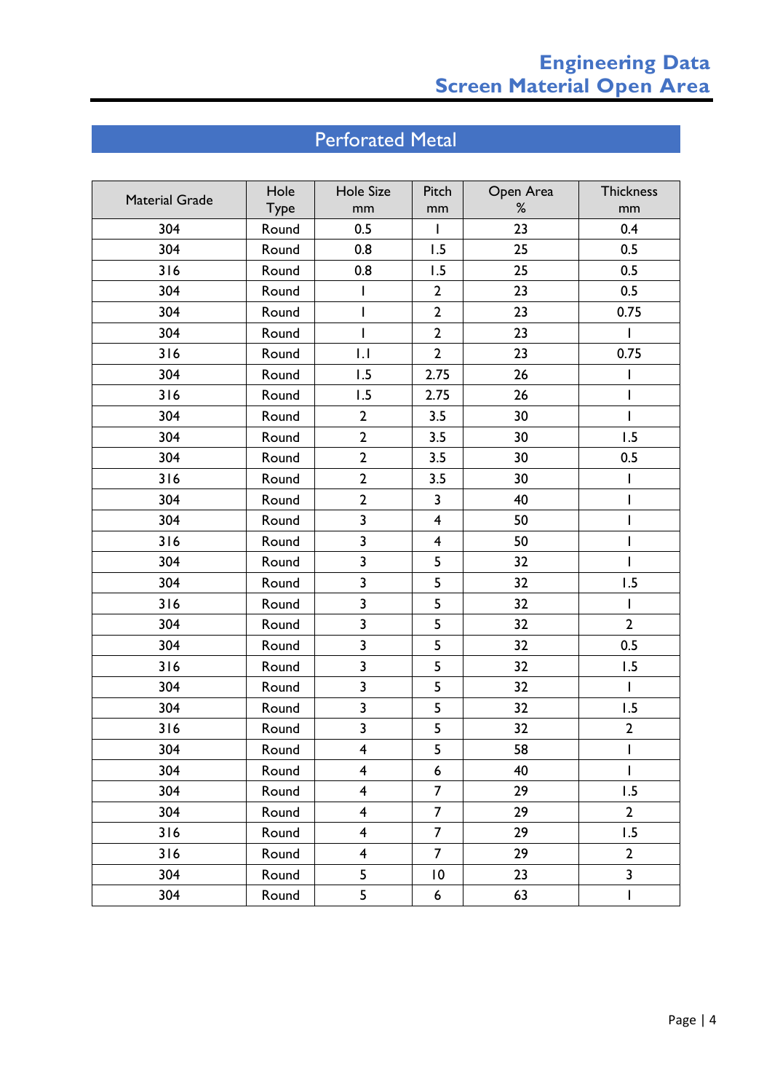## Perforated Metal

| <b>Material Grade</b> | Hole  | Hole Size               | Pitch                   | Open Area | <b>Thickness</b>        |
|-----------------------|-------|-------------------------|-------------------------|-----------|-------------------------|
|                       | Type  | mm                      | mm                      | $\%$      | mm                      |
| 304                   | Round | 0.5                     | L                       | 23        | 0.4                     |
| 304                   | Round | 0.8                     | 1.5                     | 25        | 0.5                     |
| 316                   | Round | 0.8                     | 1.5                     | 25        | 0.5                     |
| 304                   | Round | I                       | 2                       | 23        | 0.5                     |
| 304                   | Round | $\mathbf{I}$            | $\overline{2}$          | 23        | 0.75                    |
| 304                   | Round | $\mathsf{I}$            | $\mathbf{2}$            | 23        | $\mathbf{I}$            |
| 316                   | Round | IJ                      | $\overline{2}$          | 23        | 0.75                    |
| 304                   | Round | 1.5                     | 2.75                    | 26        |                         |
| 316                   | Round | 1.5                     | 2.75                    | 26        | $\mathsf I$             |
| 304                   | Round | $\overline{2}$          | 3.5                     | 30        | I                       |
| 304                   | Round | $\mathbf{2}$            | 3.5                     | 30        | 1.5                     |
| 304                   | Round | $\overline{2}$          | 3.5                     | 30        | 0.5                     |
| 316                   | Round | $\overline{2}$          | 3.5                     | 30        |                         |
| 304                   | Round | $\overline{2}$          | 3                       | 40        | ı                       |
| 304                   | Round | 3                       | $\overline{\mathbf{4}}$ | 50        | I                       |
| 316                   | Round | 3                       | $\overline{\mathbf{4}}$ | 50        |                         |
| 304                   | Round | 3                       | 5                       | 32        | ı                       |
| 304                   | Round | 3                       | 5                       | 32        | 1.5                     |
| 316                   | Round | $\overline{\mathbf{3}}$ | 5                       | 32        | I                       |
| 304                   | Round | 3                       | 5                       | 32        | $\overline{2}$          |
| 304                   | Round | 3                       | 5                       | 32        | 0.5                     |
| 316                   | Round | $\overline{\mathbf{3}}$ | 5                       | 32        | 1.5                     |
| 304                   | Round | $\overline{\mathbf{3}}$ | 5                       | 32        | I.                      |
| 304                   | Round | 3                       | 5                       | 32        | 1.5                     |
| 316                   | Round | $\overline{\mathbf{3}}$ | 5                       | 32        | $\overline{2}$          |
| 304                   | Round | $\overline{\mathbf{4}}$ | 5                       | 58        | I                       |
| 304                   | Round | 4                       | 6                       | 40        | I                       |
| 304                   | Round | $\overline{\mathbf{4}}$ | $\overline{7}$          | 29        | 1.5                     |
| 304                   | Round | $\overline{\mathbf{4}}$ | $\overline{7}$          | 29        | $\overline{2}$          |
| 316                   | Round | $\overline{\mathbf{4}}$ | $\overline{7}$          | 29        | 1.5                     |
| 316                   | Round | $\overline{\mathbf{4}}$ | $\overline{7}$          | 29        | $\overline{2}$          |
| 304                   | Round | 5                       | $\overline{10}$         | 23        | $\overline{\mathbf{3}}$ |
| 304                   | Round | 5                       | 6                       | 63        | $\overline{1}$          |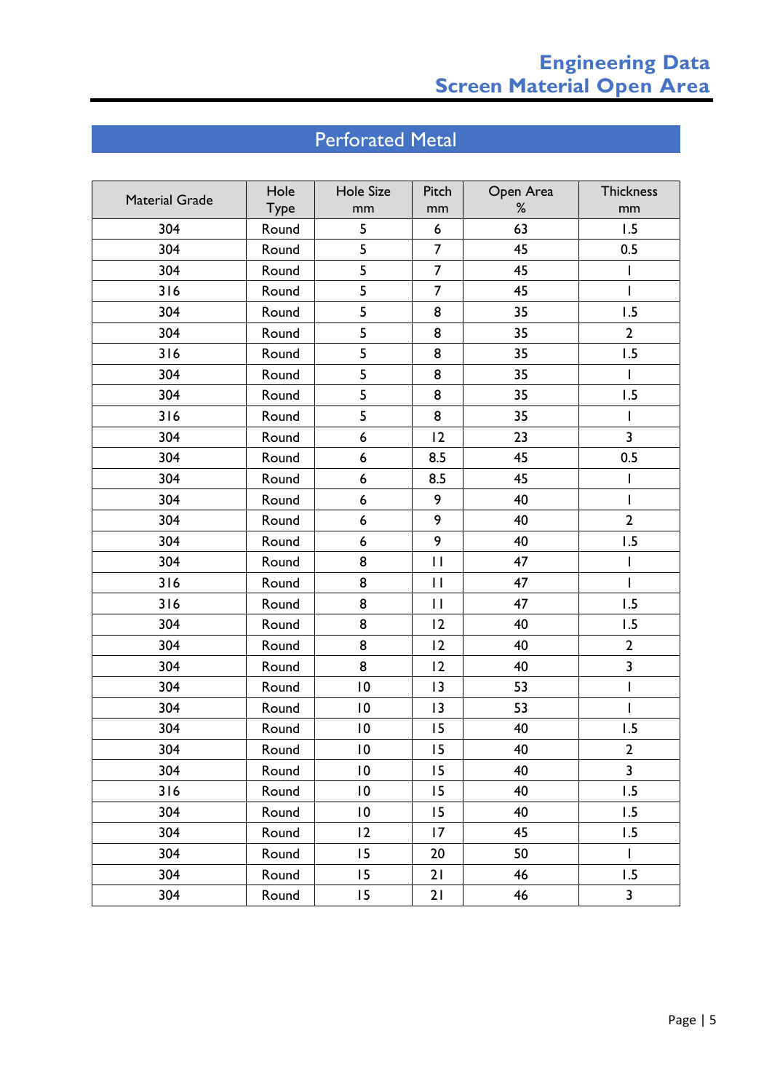## Perforated Metal

| <b>Material Grade</b> | Hole  | Hole Size       | Pitch          | Open Area | <b>Thickness</b>        |
|-----------------------|-------|-----------------|----------------|-----------|-------------------------|
|                       | Type  | mm              | mm             | $\%$      | mm                      |
| 304                   | Round | 5               | 6              | 63        | 1.5                     |
| 304                   | Round | 5               | $\overline{7}$ | 45        | 0.5                     |
| 304                   | Round | 5               | $\overline{7}$ | 45        | I                       |
| 316                   | Round | 5               | 7              | 45        | T                       |
| 304                   | Round | 5               | 8              | 35        | 1.5                     |
| 304                   | Round | 5               | 8              | 35        | $\overline{2}$          |
| 316                   | Round | 5               | 8              | 35        | 1.5                     |
| 304                   | Round | 5               | 8              | 35        | L                       |
| 304                   | Round | 5               | 8              | 35        | 1.5                     |
| 316                   | Round | 5               | 8              | 35        |                         |
| 304                   | Round | 6               | 12             | 23        | $\overline{\mathbf{3}}$ |
| 304                   | Round | 6               | 8.5            | 45        | 0.5                     |
| 304                   | Round | 6               | 8.5            | 45        |                         |
| 304                   | Round | 6               | 9              | 40        | T                       |
| 304                   | Round | 6               | 9              | 40        | $\overline{2}$          |
| 304                   | Round | 6               | 9              | 40        | 1.5                     |
| 304                   | Round | 8               | $\mathbf{H}$   | 47        |                         |
| 316                   | Round | 8               | $\mathbf{H}$   | 47        | I                       |
| 316                   | Round | 8               | $\mathbf{H}$   | 47        | 1.5                     |
| 304                   | Round | 8               | 12             | 40        | 1.5                     |
| 304                   | Round | 8               | 12             | 40        | $\overline{2}$          |
| 304                   | Round | 8               | 12             | 40        | $\overline{\mathbf{3}}$ |
| 304                   | Round | $\overline{10}$ | 13             | 53        | I                       |
| 304                   | Round | $\overline{10}$ | 13             | 53        | $\mathsf{I}$            |
| 304                   | Round | $\overline{10}$ | 15             | 40        | 1.5                     |
| 304                   | Round | $\overline{10}$ | 15             | 40        | $\mathbf{2}$            |
| 304                   | Round | $\overline{0}$  | 15             | 40        | 3                       |
| 316                   | Round | $\overline{10}$ | 15             | 40        | 1.5                     |
| 304                   | Round | $\overline{10}$ | 15             | 40        | 1.5                     |
| 304                   | Round | $ 2\rangle$     | 17             | 45        | 1.5                     |
| 304                   | Round | 15              | 20             | 50        | $\mathbf{I}$            |
| 304                   | Round | 15              | 21             | 46        | 1.5                     |
| 304                   | Round | 15              | 21             | 46        | $\overline{\mathbf{3}}$ |